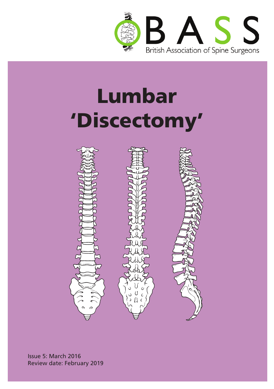





Issue 5: March 2016 Review date: February 2019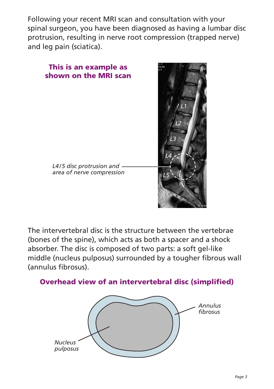Following your recent MRI scan and consultation with your spinal surgeon, you have been diagnosed as having a lumbar disc protrusion, resulting in nerve root compression (trapped nerve) and leg pain (sciatica).



The intervertebral disc is the structure between the vertebrae (bones of the spine), which acts as both a spacer and a shock absorber. The disc is composed of two parts: a soft gel-like middle (nucleus pulposus) surrounded by a tougher fibrous wall (annulus fibrosus).



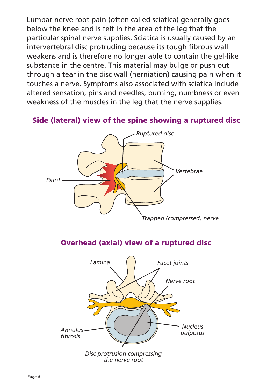Lumbar nerve root pain (often called sciatica) generally goes below the knee and is felt in the area of the leg that the particular spinal nerve supplies. Sciatica is usually caused by an intervertebral disc protruding because its tough fibrous wall weakens and is therefore no longer able to contain the gel-like substance in the centre. This material may bulge or push out through a tear in the disc wall (herniation) causing pain when it touches a nerve. Symptoms also associated with sciatica include altered sensation, pins and needles, burning, numbness or even weakness of the muscles in the leg that the nerve supplies.

#### Side (lateral) view of the spine showing a ruptured disc



### Overhead (axial) view of a ruptured disc

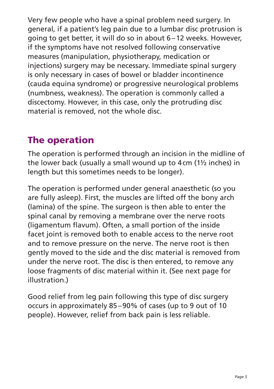Very few people who have a spinal problem need surgery. In general, if a patient's leg pain due to a lumbar disc protrusion is going to get better, it will do so in about 6–12 weeks. However, if the symptoms have not resolved following conservative measures (manipulation, physiotherapy, medication or injections) surgery may be necessary. Immediate spinal surgery is only necessary in cases of bowel or bladder incontinence (cauda equina syndrome) or progressive neurological problems (numbness, weakness). The operation is commonly called a discectomy. However, in this case, only the protruding disc material is removed, not the whole disc.

## The operation

The operation is performed through an incision in the midline of the lower back (usually a small wound up to 4cm (1½ inches) in length but this sometimes needs to be longer).

The operation is performed under general anaesthetic (so you are fully asleep). First, the muscles are lifted off the bony arch (lamina) of the spine. The surgeon is then able to enter the spinal canal by removing a membrane over the nerve roots (ligamentum flavum). Often, a small portion of the inside facet joint is removed both to enable access to the nerve root and to remove pressure on the nerve. The nerve root is then gently moved to the side and the disc material is removed from under the nerve root. The disc is then entered, to remove any loose fragments of disc material within it. (See next page for illustration.)

Good relief from leg pain following this type of disc surgery occurs in approximately 85–90% of cases (up to 9 out of 10 people). However, relief from back pain is less reliable.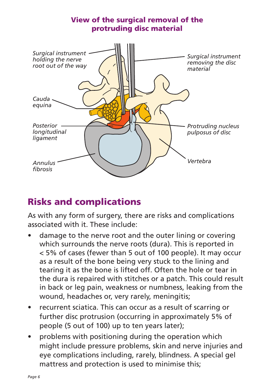

### Risks and complications

As with any form of surgery, there are risks and complications associated with it. These include:

- damage to the nerve root and the outer lining or covering which surrounds the nerve roots (dura). This is reported in < 5% of cases (fewer than 5 out of 100 people). It may occur as a result of the bone being very stuck to the lining and tearing it as the bone is lifted off. Often the hole or tear in the dura is repaired with stitches or a patch. This could result in back or leg pain, weakness or numbness, leaking from the wound, headaches or, very rarely, meningitis;
- recurrent sciatica. This can occur as a result of scarring or further disc protrusion (occurring in approximately 5% of people (5 out of 100) up to ten years later);
- problems with positioning during the operation which might include pressure problems, skin and nerve injuries and eye complications including, rarely, blindness. A special gel mattress and protection is used to minimise this;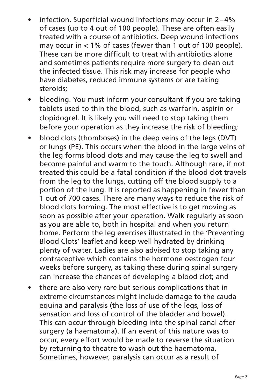- infection. Superficial wound infections may occur in  $2-4%$ of cases (up to 4 out of 100 people). These are often easily treated with a course of antibiotics. Deep wound infections may occur in < 1% of cases (fewer than 1 out of 100 people). These can be more difficult to treat with antibiotics alone and sometimes patients require more surgery to clean out the infected tissue. This risk may increase for people who have diabetes, reduced immune systems or are taking steroids;
- bleeding. You must inform your consultant if you are taking tablets used to thin the blood, such as warfarin, aspirin or clopidogrel. It is likely you will need to stop taking them before your operation as they increase the risk of bleeding;
- blood clots (thomboses) in the deep veins of the legs (DVT) or lungs (PE). This occurs when the blood in the large veins of the leg forms blood clots and may cause the leg to swell and become painful and warm to the touch. Although rare, if not treated this could be a fatal condition if the blood clot travels from the leg to the lungs, cutting off the blood supply to a portion of the lung. It is reported as happening in fewer than 1 out of 700 cases. There are many ways to reduce the risk of blood clots forming. The most effective is to get moving as soon as possible after your operation. Walk regularly as soon as you are able to, both in hospital and when you return home. Perform the leg exercises illustrated in the 'Preventing Blood Clots' leaflet and keep well hydrated by drinking plenty of water. Ladies are also advised to stop taking any contraceptive which contains the hormone oestrogen four weeks before surgery, as taking these during spinal surgery can increase the chances of developing a blood clot; and
- there are also very rare but serious complications that in extreme circumstances might include damage to the cauda equina and paralysis (the loss of use of the legs, loss of sensation and loss of control of the bladder and bowel). This can occur through bleeding into the spinal canal after surgery (a haematoma). If an event of this nature was to occur, every effort would be made to reverse the situation by returning to theatre to wash out the haematoma. Sometimes, however, paralysis can occur as a result of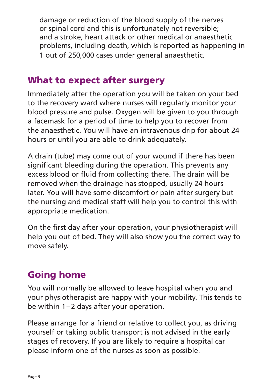damage or reduction of the blood supply of the nerves or spinal cord and this is unfortunately not reversible; and a stroke, heart attack or other medical or anaesthetic problems, including death, which is reported as happening in 1 out of 250,000 cases under general anaesthetic.

### What to expect after surgery

Immediately after the operation you will be taken on your bed to the recovery ward where nurses will regularly monitor your blood pressure and pulse. Oxygen will be given to you through a facemask for a period of time to help you to recover from the anaesthetic. You will have an intravenous drip for about 24 hours or until you are able to drink adequately.

A drain (tube) may come out of your wound if there has been significant bleeding during the operation. This prevents any excess blood or fluid from collecting there. The drain will be removed when the drainage has stopped, usually 24 hours later. You will have some discomfort or pain after surgery but the nursing and medical staff will help you to control this with appropriate medication.

On the first day after your operation, your physiotherapist will help you out of bed. They will also show you the correct way to move safely.

## Going home

You will normally be allowed to leave hospital when you and your physiotherapist are happy with your mobility. This tends to be within 1–2 days after your operation.

Please arrange for a friend or relative to collect you, as driving yourself or taking public transport is not advised in the early stages of recovery. If you are likely to require a hospital car please inform one of the nurses as soon as possible.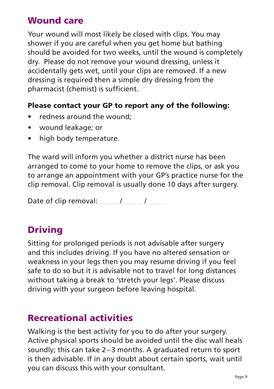### Wound care

Your wound will most likely be closed with clips. You may shower if you are careful when you get home but bathing should be avoided for two weeks, until the wound is completely dry. Please do not remove your wound dressing, unless it accidentally gets wet, until your clips are removed. If a new dressing is required then a simple dry dressing from the pharmacist (chemist) is sufficient.

#### Please contact your GP to report any of the following:

- redness around the wound:
- • wound leakage; or
- high body temperature.

The ward will inform you whether a district nurse has been arranged to come to your home to remove the clips, or ask you to arrange an appointment with your GP's practice nurse for the clip removal. Clip removal is usually done 10 days after surgery.

Date of clip removal:  $/$  /

## Driving

Sitting for prolonged periods is not advisable after surgery and this includes driving. If you have no altered sensation or weakness in your legs then you may resume driving if you feel safe to do so but it is advisable not to travel for long distances without taking a break to 'stretch your legs'. Please discuss driving with your surgeon before leaving hospital.

## Recreational activities

Walking is the best activity for you to do after your surgery. Active physical sports should be avoided until the disc wall heals soundly; this can take 2–3 months. A graduated return to sport is then advisable. If in any doubt about certain sports, wait until you can discuss this with your consultant.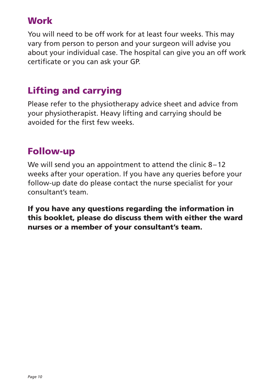### **Work**

You will need to be off work for at least four weeks. This may vary from person to person and your surgeon will advise you about your individual case. The hospital can give you an off work certificate or you can ask your GP.

# Lifting and carrying

Please refer to the physiotherapy advice sheet and advice from your physiotherapist. Heavy lifting and carrying should be avoided for the first few weeks.

## Follow-up

We will send you an appointment to attend the clinic 8–12 weeks after your operation. If you have any queries before your follow-up date do please contact the nurse specialist for your consultant's team.

If you have any questions regarding the information in this booklet, please do discuss them with either the ward nurses or a member of your consultant's team.